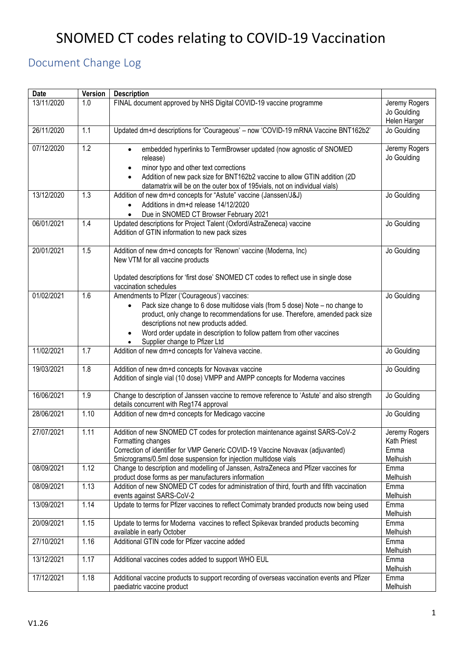# SNOMED CT codes relating to COVID-19 Vaccination

# <span id="page-0-0"></span>Document Change Log

| <b>Date</b> | Version | <b>Description</b>                                                                                                                                                                                                                                                                                                                                                |                                                  |
|-------------|---------|-------------------------------------------------------------------------------------------------------------------------------------------------------------------------------------------------------------------------------------------------------------------------------------------------------------------------------------------------------------------|--------------------------------------------------|
| 13/11/2020  | 1.0     | FINAL document approved by NHS Digital COVID-19 vaccine programme                                                                                                                                                                                                                                                                                                 | Jeremy Rogers<br>Jo Goulding<br>Helen Harger     |
| 26/11/2020  | 1.1     | Updated dm+d descriptions for 'Courageous' - now 'COVID-19 mRNA Vaccine BNT162b2'                                                                                                                                                                                                                                                                                 | Jo Goulding                                      |
| 07/12/2020  | 1.2     | embedded hyperlinks to TermBrowser updated (now agnostic of SNOMED<br>release)<br>minor typo and other text corrections<br>Addition of new pack size for BNT162b2 vaccine to allow GTIN addition (2D)<br>datamatrix will be on the outer box of 195vials, not on individual vials)                                                                                | Jeremy Rogers<br>Jo Goulding                     |
| 13/12/2020  | 1.3     | Addition of new dm+d concepts for "Astute" vaccine (Janssen/J&J)<br>Additions in dm+d release 14/12/2020<br>Due in SNOMED CT Browser February 2021                                                                                                                                                                                                                | Jo Goulding                                      |
| 06/01/2021  | 1.4     | Updated descriptions for Project Talent (Oxford/AstraZeneca) vaccine<br>Addition of GTIN information to new pack sizes                                                                                                                                                                                                                                            | Jo Goulding                                      |
| 20/01/2021  | 1.5     | Addition of new dm+d concepts for 'Renown' vaccine (Moderna, Inc)<br>New VTM for all vaccine products<br>Updated descriptions for 'first dose' SNOMED CT codes to reflect use in single dose<br>vaccination schedules                                                                                                                                             | Jo Goulding                                      |
| 01/02/2021  | 1.6     | Amendments to Pfizer ('Courageous') vaccines:<br>Pack size change to 6 dose multidose vials (from 5 dose) Note - no change to<br>product, only change to recommendations for use. Therefore, amended pack size<br>descriptions not new products added.<br>Word order update in description to follow pattern from other vaccines<br>Supplier change to Pfizer Ltd | Jo Goulding                                      |
| 11/02/2021  | 1.7     | Addition of new dm+d concepts for Valneva vaccine.                                                                                                                                                                                                                                                                                                                | Jo Goulding                                      |
| 19/03/2021  | 1.8     | Addition of new dm+d concepts for Novavax vaccine<br>Addition of single vial (10 dose) VMPP and AMPP concepts for Moderna vaccines                                                                                                                                                                                                                                | Jo Goulding                                      |
| 16/06/2021  | 1.9     | Change to description of Janssen vaccine to remove reference to 'Astute' and also strength<br>details concurrent with Reg174 approval                                                                                                                                                                                                                             | Jo Goulding                                      |
| 28/06/2021  | 1.10    | Addition of new dm+d concepts for Medicago vaccine                                                                                                                                                                                                                                                                                                                | Jo Goulding                                      |
| 27/07/2021  | 1.11    | Addition of new SNOMED CT codes for protection maintenance against SARS-CoV-2<br>Formatting changes<br>Correction of identifier for VMP Generic COVID-19 Vaccine Novavax (adjuvanted)<br>5micrograms/0.5ml dose suspension for injection multidose vials                                                                                                          | Jeremy Rogers<br>Kath Priest<br>Emma<br>Melhuish |
| 08/09/2021  | 1.12    | Change to description and modelling of Janssen, AstraZeneca and Pfizer vaccines for<br>product dose forms as per manufacturers information                                                                                                                                                                                                                        | Emma<br>Melhuish                                 |
| 08/09/2021  | 1.13    | Addition of new SNOMED CT codes for administration of third, fourth and fifth vaccination<br>events against SARS-CoV-2                                                                                                                                                                                                                                            | Emma<br>Melhuish                                 |
| 13/09/2021  | 1.14    | Update to terms for Pfizer vaccines to reflect Comirnaty branded products now being used                                                                                                                                                                                                                                                                          | Emma<br>Melhuish                                 |
| 20/09/2021  | 1.15    | Update to terms for Moderna vaccines to reflect Spikevax branded products becoming<br>available in early October                                                                                                                                                                                                                                                  | Emma<br>Melhuish                                 |
| 27/10/2021  | 1.16    | Additional GTIN code for Pfizer vaccine added                                                                                                                                                                                                                                                                                                                     | Emma<br>Melhuish                                 |
| 13/12/2021  | 1.17    | Additional vaccines codes added to support WHO EUL                                                                                                                                                                                                                                                                                                                | Emma<br>Melhuish                                 |
| 17/12/2021  | 1.18    | Additional vaccine products to support recording of overseas vaccination events and Pfizer<br>paediatric vaccine product                                                                                                                                                                                                                                          | Emma<br>Melhuish                                 |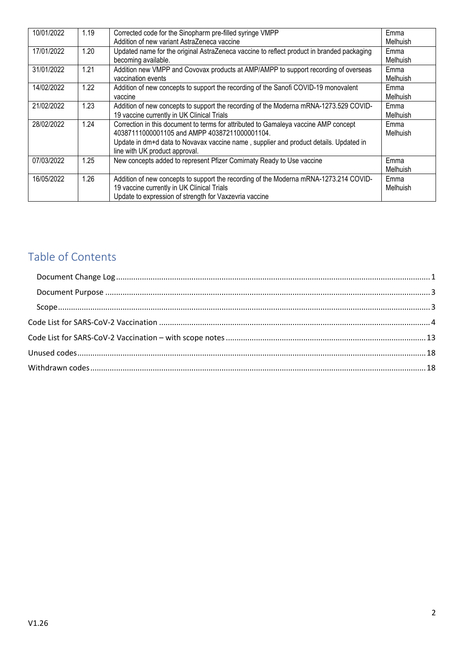| 10/01/2022 | 1.19 | Corrected code for the Sinopharm pre-filled syringe VMPP                                  | Emma            |
|------------|------|-------------------------------------------------------------------------------------------|-----------------|
|            |      | Addition of new variant AstraZeneca vaccine                                               | <b>Melhuish</b> |
| 17/01/2022 | 1.20 | Updated name for the original AstraZeneca vaccine to reflect product in branded packaging | Emma            |
|            |      | becoming available.                                                                       | <b>Melhuish</b> |
| 31/01/2022 | 1.21 | Addition new VMPP and Covovax products at AMP/AMPP to support recording of overseas       | Emma            |
|            |      | vaccination events                                                                        | <b>Melhuish</b> |
| 14/02/2022 | 1.22 | Addition of new concepts to support the recording of the Sanofi COVID-19 monovalent       | Emma            |
|            |      | vaccine                                                                                   | <b>Melhuish</b> |
| 21/02/2022 | 1.23 | Addition of new concepts to support the recording of the Moderna mRNA-1273.529 COVID-     | Emma            |
|            |      | 19 vaccine currently in UK Clinical Trials                                                | Melhuish        |
| 28/02/2022 | 1.24 | Correction in this document to terms for attributed to Gamaleya vaccine AMP concept       | Emma            |
|            |      | 40387111000001105 and AMPP 40387211000001104.                                             | Melhuish        |
|            |      | Update in dm+d data to Novavax vaccine name, supplier and product details. Updated in     |                 |
|            |      | line with UK product approval.                                                            |                 |
| 07/03/2022 | 1.25 | New concepts added to represent Pfizer Comirnaty Ready to Use vaccine                     | Emma            |
|            |      |                                                                                           | <b>Melhuish</b> |
| 16/05/2022 | 1.26 | Addition of new concepts to support the recording of the Moderna mRNA-1273.214 COVID-     | Emma            |
|            |      | 19 vaccine currently in UK Clinical Trials                                                | Melhuish        |
|            |      | Update to expression of strength for Vaxzevria vaccine                                    |                 |

# Table of Contents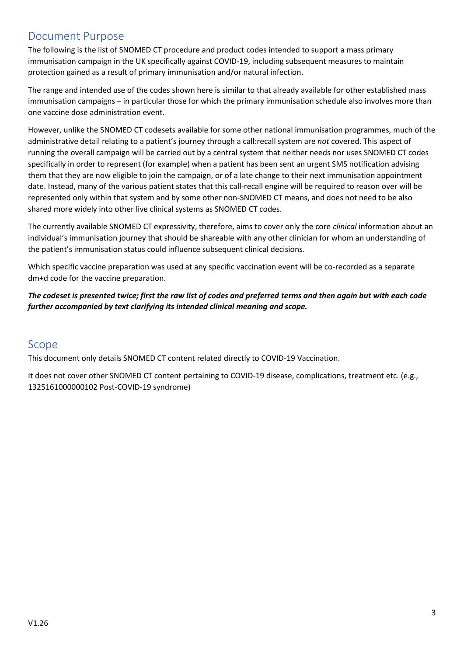# <span id="page-2-0"></span>Document Purpose

The following is the list of SNOMED CT procedure and product codes intended to support a mass primary immunisation campaign in the UK specifically against COVID-19, including subsequent measures to maintain protection gained as a result of primary immunisation and/or natural infection.

The range and intended use of the codes shown here is similar to that already available for other established mass immunisation campaigns – in particular those for which the primary immunisation schedule also involves more than one vaccine dose administration event.

However, unlike the SNOMED CT codesets available for some other national immunisation programmes, much of the administrative detail relating to a patient's journey through a call:recall system are *not* covered. This aspect of running the overall campaign will be carried out by a central system that neither needs nor uses SNOMED CT codes specifically in order to represent (for example) when a patient has been sent an urgent SMS notification advising them that they are now eligible to join the campaign, or of a late change to their next immunisation appointment date. Instead, many of the various patient states that this call-recall engine will be required to reason over will be represented only within that system and by some other non-SNOMED CT means, and does not need to be also shared more widely into other live clinical systems as SNOMED CT codes.

The currently available SNOMED CT expressivity, therefore, aims to cover only the core *clinical* information about an individual's immunisation journey that should be shareable with any other clinician for whom an understanding of the patient's immunisation status could influence subsequent clinical decisions.

Which specific vaccine preparation was used at any specific vaccination event will be co-recorded as a separate dm+d code for the vaccine preparation.

*The codeset is presented twice; first the raw list of codes and preferred terms and then again but with each code further accompanied by text clarifying its intended clinical meaning and scope.*

## <span id="page-2-1"></span>Scope

This document only details SNOMED CT content related directly to COVID-19 Vaccination.

It does not cover other SNOMED CT content pertaining to COVID-19 disease, complications, treatment etc. (e.g., 1325161000000102 Post-COVID-19 syndrome)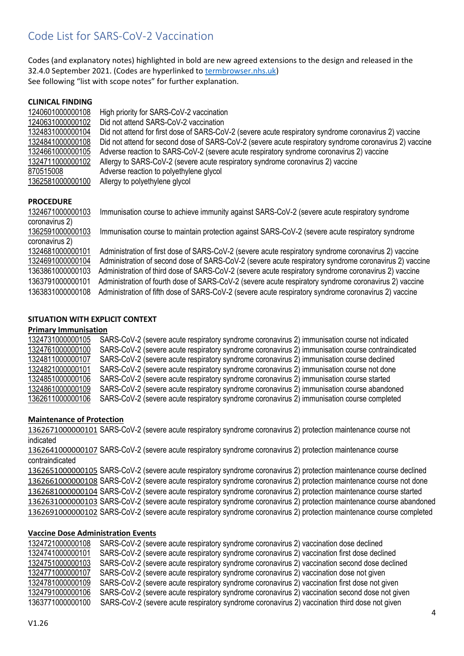# <span id="page-3-0"></span>Code List for SARS-CoV-2 Vaccination

Codes (and explanatory notes) highlighted in bold are new agreed extensions to the design and released in the 32.4.0 September 2021. (Codes are hyperlinked to [termbrowser.nhs.uk\)](http://termbrowser.nhs.uk/) See following "list with scope notes" for further explanation.

| <b>CLINICAL FINDING</b> |                                                                                                        |
|-------------------------|--------------------------------------------------------------------------------------------------------|
| 1240601000000108        | High priority for SARS-CoV-2 vaccination                                                               |
| 1240631000000102        | Did not attend SARS-CoV-2 vaccination                                                                  |
| 1324831000000104        | Did not attend for first dose of SARS-CoV-2 (severe acute respiratory syndrome coronavirus 2) vaccine  |
| 1324841000000108        | Did not attend for second dose of SARS-CoV-2 (severe acute respiratory syndrome coronavirus 2) vaccine |
| 1324661000000105        | Adverse reaction to SARS-CoV-2 (severe acute respiratory syndrome coronavirus 2) vaccine               |
| 1324711000000102        | Allergy to SARS-CoV-2 (severe acute respiratory syndrome coronavirus 2) vaccine                        |
| 870515008               | Adverse reaction to polyethylene glycol                                                                |
| 1362581000000100        | Allergy to polyethylene glycol                                                                         |
|                         |                                                                                                        |
| <b>PROCEDURE</b>        |                                                                                                        |
| 1324671000000103        | Immunisation course to achieve immunity against SARS-CoV-2 (severe acute respiratory syndrome          |
| coronavirus 2)          |                                                                                                        |
| 1362591000000103        | Immunisation course to maintain protection against SARS-CoV-2 (severe acute respiratory syndrome       |
| coronavirus 2)          |                                                                                                        |
| 1324681000000101        | Administration of first dose of SARS-CoV-2 (severe acute respiratory syndrome coronavirus 2) vaccine   |
| 1324691000000104        | Administration of second dose of SARS-CoV-2 (severe acute respiratory syndrome coronavirus 2) vaccine  |
| 1363861000000103        | Administration of third dose of SARS-CoV-2 (severe acute respiratory syndrome coronavirus 2) vaccine   |

**SITUATION WITH EXPLICIT CONTEXT**

#### **Primary Immunisation**

 SARS-CoV-2 (severe acute respiratory syndrome coronavirus 2) immunisation course not indicated SARS-CoV-2 (severe acute respiratory syndrome coronavirus 2) immunisation course contraindicated SARS-CoV-2 (severe acute respiratory syndrome coronavirus 2) immunisation course declined SARS-CoV-2 (severe acute respiratory syndrome coronavirus 2) immunisation course not done<br>1324851000000106 SARS-CoV-2 (severe acute respiratory syndrome coronavirus 2) immunisation course started SARS-CoV-2 (severe acute respiratory syndrome coronavirus 2) immunisation course started SARS-CoV-2 (severe acute respiratory syndrome coronavirus 2) immunisation course abandoned SARS-CoV-2 (severe acute respiratory syndrome coronavirus 2) immunisation course completed

1363791000000101 Administration of fourth dose of SARS-CoV-2 (severe acute respiratory syndrome coronavirus 2) vaccine 1363831000000108 Administration of fifth dose of SARS-CoV-2 (severe acute respiratory syndrome coronavirus 2) vaccine

#### **Maintenance of Protection**

 SARS-CoV-2 (severe acute respiratory syndrome coronavirus 2) protection maintenance course not indicated

 SARS-CoV-2 (severe acute respiratory syndrome coronavirus 2) protection maintenance course contraindicated

 SARS-CoV-2 (severe acute respiratory syndrome coronavirus 2) protection maintenance course declined SARS-CoV-2 (severe acute respiratory syndrome coronavirus 2) protection maintenance course not done SARS-CoV-2 (severe acute respiratory syndrome coronavirus 2) protection maintenance course started SARS-CoV-2 (severe acute respiratory syndrome coronavirus 2) protection maintenance course abandoned SARS-CoV-2 (severe acute respiratory syndrome coronavirus 2) protection maintenance course completed

#### **Vaccine Dose Administration Events**

 SARS-CoV-2 (severe acute respiratory syndrome coronavirus 2) vaccination dose declined SARS-CoV-2 (severe acute respiratory syndrome coronavirus 2) vaccination first dose declined SARS-CoV-2 (severe acute respiratory syndrome coronavirus 2) vaccination second dose declined SARS-CoV-2 (severe acute respiratory syndrome coronavirus 2) vaccination dose not given SARS-CoV-2 (severe acute respiratory syndrome coronavirus 2) vaccination first dose not given SARS-CoV-2 (severe acute respiratory syndrome coronavirus 2) vaccination second dose not given 1363771000000100 SARS-CoV-2 (severe acute respiratory syndrome coronavirus 2) vaccination third dose not given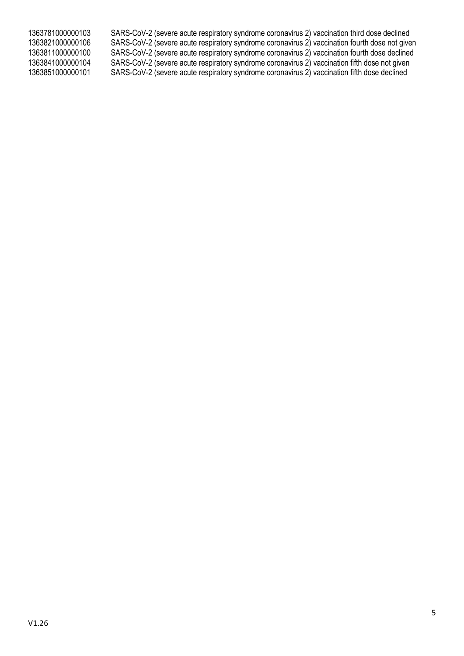1363781000000103 SARS-CoV-2 (severe acute respiratory syndrome coronavirus 2) vaccination third dose declined 1363821000000106 SARS-CoV-2 (severe acute respiratory syndrome coronavirus 2) vaccination fourth dose not given 1363811000000100 SARS-CoV-2 (severe acute respiratory syndrome coronavirus 2) vaccination fourth dose declined 1363841000000104 SARS-CoV-2 (severe acute respiratory syndrome coronavirus 2) vaccination fifth dose not given SARS-CoV-2 (severe acute respiratory syndrome coronavirus 2) vaccination fifth dose declined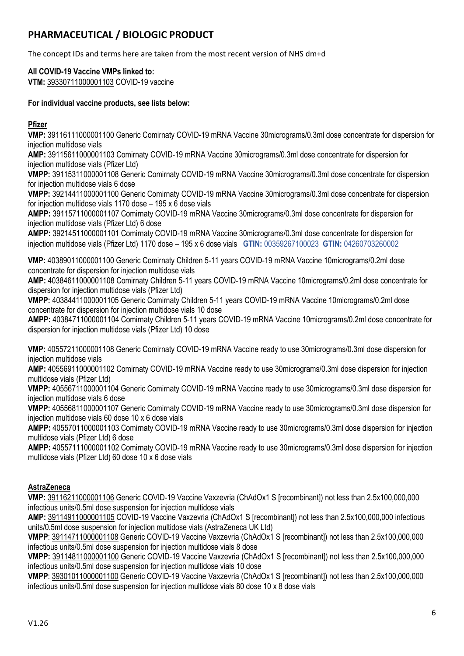# **PHARMACEUTICAL / BIOLOGIC PRODUCT**

The concept IDs and terms here are taken from the most recent version of NHS dm+d

# **All COVID-19 Vaccine VMPs linked to:**

**VTM:** [39330711000001103](https://termbrowser.nhs.uk/?perspective=full&edition=uk-edition&server=https://termbrowser.nhs.uk/sct-browser-api/snomed&langRefset=999001261000000100,999000691000001104&conceptId1=39330711000001103) COVID-19 vaccine

#### **For individual vaccine products, see lists below:**

## **Pfizer**

**VMP:** 39116111000001100 Generic Comirnaty COVID-19 mRNA Vaccine 30micrograms/0.3ml dose concentrate for dispersion for injection multidose vials

**AMP:** 39115611000001103 Comirnaty COVID-19 mRNA Vaccine 30micrograms/0.3ml dose concentrate for dispersion for injection multidose vials (Pfizer Ltd)

**VMPP:** 39115311000001108 Generic Comirnaty COVID-19 mRNA Vaccine 30micrograms/0.3ml dose concentrate for dispersion for injection multidose vials 6 dose

**VMPP:** 39214411000001100 Generic Comirnaty COVID-19 mRNA Vaccine 30micrograms/0.3ml dose concentrate for dispersion for injection multidose vials 1170 dose – 195 x 6 dose vials

**AMPP:** 39115711000001107 Comirnaty COVID-19 mRNA Vaccine 30micrograms/0.3ml dose concentrate for dispersion for injection multidose vials (Pfizer Ltd) 6 dose

**AMPP:** 39214511000001101 Comirnaty COVID-19 mRNA Vaccine 30micrograms/0.3ml dose concentrate for dispersion for injection multidose vials (Pfizer Ltd) 1170 dose – 195 x 6 dose vials **GTIN:** 00359267100023 **GTIN:** 04260703260002

**VMP:** 40389011000001100 Generic Comirnaty Children 5-11 years COVID-19 mRNA Vaccine 10micrograms/0.2ml dose concentrate for dispersion for injection multidose vials

**AMP:** 40384611000001108 Comirnaty Children 5-11 years COVID-19 mRNA Vaccine 10micrograms/0.2ml dose concentrate for dispersion for injection multidose vials (Pfizer Ltd)

**VMPP:** 40384411000001105 Generic Comirnaty Children 5-11 years COVID-19 mRNA Vaccine 10micrograms/0.2ml dose concentrate for dispersion for injection multidose vials 10 dose

**AMPP:** 40384711000001104 Comirnaty Children 5-11 years COVID-19 mRNA Vaccine 10micrograms/0.2ml dose concentrate for dispersion for injection multidose vials (Pfizer Ltd) 10 dose

**VMP:** 40557211000001108 Generic Comirnaty COVID-19 mRNA Vaccine ready to use 30micrograms/0.3ml dose dispersion for injection multidose vials

**AMP:** 40556911000001102 Comirnaty COVID-19 mRNA Vaccine ready to use 30micrograms/0.3ml dose dispersion for injection multidose vials (Pfizer Ltd)

**VMPP:** 40556711000001104 Generic Comirnaty COVID-19 mRNA Vaccine ready to use 30micrograms/0.3ml dose dispersion for injection multidose vials 6 dose

**VMPP:** 40556811000001107 Generic Comirnaty COVID-19 mRNA Vaccine ready to use 30micrograms/0.3ml dose dispersion for injection multidose vials 60 dose 10 x 6 dose vials

**AMPP:** 40557011000001103 Comirnaty COVID-19 mRNA Vaccine ready to use 30micrograms/0.3ml dose dispersion for injection multidose vials (Pfizer Ltd) 6 dose

**AMPP:** 40557111000001102 Comirnaty COVID-19 mRNA Vaccine ready to use 30micrograms/0.3ml dose dispersion for injection multidose vials (Pfizer Ltd) 60 dose 10 x 6 dose vials

## **AstraZeneca**

**VMP:** [39116211000001106](https://termbrowser.nhs.uk/?perspective=full&edition=uk-edition&server=https://termbrowser.nhs.uk/sct-browser-api/snomed&langRefset=999001261000000100,999000691000001104&conceptId1=39116211000001106) Generic COVID-19 Vaccine Vaxzevria (ChAdOx1 S [recombinant]) not less than 2.5x100,000,000 infectious units/0.5ml dose suspension for injection multidose vials

**AMP:** [39114911000001105](https://termbrowser.nhs.uk/?perspective=full&edition=uk-edition&server=https://termbrowser.nhs.uk/sct-browser-api/snomed&langRefset=999001261000000100,999000691000001104&conceptId1=39114911000001105) COVID-19 Vaccine Vaxzevria (ChAdOx1 S [recombinant]) not less than 2.5x100,000,000 infectious units/0.5ml dose suspension for injection multidose vials (AstraZeneca UK Ltd)

**VMPP**[: 39114711000001108](https://termbrowser.nhs.uk/?perspective=full&edition=uk-edition&server=https://termbrowser.nhs.uk/sct-browser-api/snomed&langRefset=999001261000000100,999000691000001104&conceptId1=39114711000001108) Generic COVID-19 Vaccine Vaxzevria (ChAdOx1 S [recombinant]) not less than 2.5x100,000,000 infectious units/0.5ml dose suspension for injection multidose vials 8 dose

**VMPP:** [39114811000001100](https://termbrowser.nhs.uk/?perspective=full&edition=uk-edition&server=https://termbrowser.nhs.uk/sct-browser-api/snomed&langRefset=999001261000000100,999000691000001104&conceptId1=39114811000001100) Generic COVID-19 Vaccine Vaxzevria (ChAdOx1 S [recombinant]) not less than 2.5x100,000,000 infectious units/0.5ml dose suspension for injection multidose vials 10 dose

**VMPP**[: 39301011000001100](https://termbrowser.nhs.uk/?perspective=full&edition=uk-edition&server=https://termbrowser.nhs.uk/sct-browser-api/snomed&langRefset=999001261000000100,999000691000001104&conceptId1=39301011000001100) Generic COVID-19 Vaccine Vaxzevria (ChAdOx1 S [recombinant]) not less than 2.5x100,000,000 infectious units/0.5ml dose suspension for injection multidose vials 80 dose 10 x 8 dose vials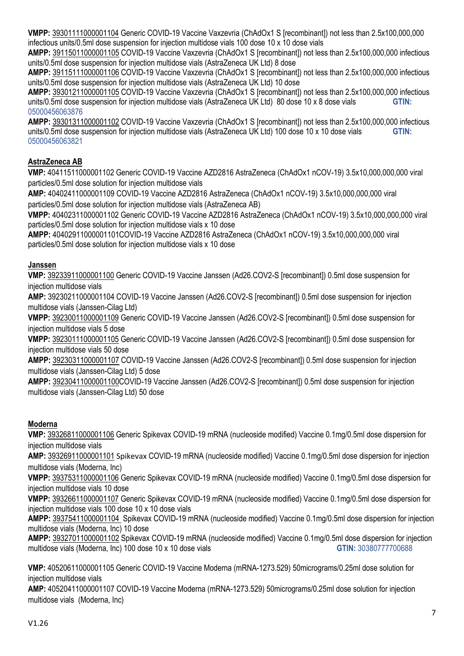**VMPP:** [39301111000001104](https://termbrowser.nhs.uk/?perspective=full&edition=uk-edition&server=https://termbrowser.nhs.uk/sct-browser-api/snomed&langRefset=999001261000000100,999000691000001104&conceptId1=39301111000001104) Generic COVID-19 Vaccine Vaxzevria (ChAdOx1 S [recombinant]) not less than 2.5x100,000,000 infectious units/0.5ml dose suspension for injection multidose vials 100 dose 10 x 10 dose vials

**AMPP:** [39115011000001105](https://termbrowser.nhs.uk/?perspective=full&edition=uk-edition&server=https://termbrowser.nhs.uk/sct-browser-api/snomed&langRefset=999001261000000100,999000691000001104&conceptId1=39115011000001105) COVID-19 Vaccine Vaxzevria (ChAdOx1 S [recombinant]) not less than 2.5x100,000,000 infectious units/0.5ml dose suspension for injection multidose vials (AstraZeneca UK Ltd) 8 dose

**AMPP:** [39115111000001106](https://termbrowser.nhs.uk/?perspective=full&edition=uk-edition&server=https://termbrowser.nhs.uk/sct-browser-api/snomed&langRefset=999001261000000100,999000691000001104&conceptId1=39115111000001106) COVID-19 Vaccine Vaxzevria (ChAdOx1 S [recombinant]) not less than 2.5x100,000,000 infectious units/0.5ml dose suspension for injection multidose vials (AstraZeneca UK Ltd) 10 dose

**AMPP:** [39301211000001105](https://termbrowser.nhs.uk/?perspective=full&edition=uk-edition&server=https://termbrowser.nhs.uk/sct-browser-api/snomed&langRefset=999001261000000100,999000691000001104&conceptId1=39301211000001105) COVID-19 Vaccine Vaxzevria (ChAdOx1 S [recombinant]) not less than 2.5x100,000,000 infectious units/0.5ml dose suspension for injection multidose vials (AstraZeneca UK Ltd) 80 dose 10 x 8 dose vials **GTIN:** 05000456063876

**AMPP:** [39301311000001102](https://termbrowser.nhs.uk/?perspective=full&edition=uk-edition&server=https://termbrowser.nhs.uk/sct-browser-api/snomed&langRefset=999001261000000100,999000691000001104&conceptId1=39301311000001102) COVID-19 Vaccine Vaxzevria (ChAdOx1 S [recombinant]) not less than 2.5x100,000,000 infectious units/0.5ml dose suspension for injection multidose vials (AstraZeneca UK Ltd) 100 dose 10 x 10 dose vials **GTIN:** 05000456063821

## **AstraZeneca AB**

**VMP:** 40411511000001102 Generic COVID-19 Vaccine AZD2816 AstraZeneca (ChAdOx1 nCOV-19) 3.5x10,000,000,000 viral particles/0.5ml dose solution for injection multidose vials

**AMP:** 40402411000001109 COVID-19 Vaccine AZD2816 AstraZeneca (ChAdOx1 nCOV-19) 3.5x10,000,000,000 viral particles/0.5ml dose solution for injection multidose vials (AstraZeneca AB)

**VMPP:** 40402311000001102 Generic COVID-19 Vaccine AZD2816 AstraZeneca (ChAdOx1 nCOV-19) 3.5x10,000,000,000 viral particles/0.5ml dose solution for injection multidose vials x 10 dose

**AMPP:** 40402911000001101COVID-19 Vaccine AZD2816 AstraZeneca (ChAdOx1 nCOV-19) 3.5x10,000,000,000 viral particles/0.5ml dose solution for injection multidose vials x 10 dose

#### **Janssen**

**VMP:** [39233911000001100](https://termbrowser.nhs.uk/?perspective=full&edition=uk-edition&server=https://termbrowser.nhs.uk/sct-browser-api/snomed&langRefset=999001261000000100,999000691000001104&conceptId1=39233911000001100) Generic COVID-19 Vaccine Janssen (Ad26.COV2-S [recombinant]) 0.5ml dose suspension for injection multidose vials

**AMP:** 39230211000001104 COVID-19 Vaccine Janssen (Ad26.COV2-S [recombinant]) 0.5ml dose suspension for injection multidose vials (Janssen-Cilag Ltd)

**VMPP:** [39230011000001109](https://termbrowser.nhs.uk/?perspective=full&edition=uk-edition&server=https://termbrowser.nhs.uk/sct-browser-api/snomed&langRefset=999001261000000100,999000691000001104&conceptId1=39230011000001109) Generic COVID-19 Vaccine Janssen (Ad26.COV2-S [recombinant]) 0.5ml dose suspension for injection multidose vials 5 dose

**VMPP:** [39230111000001105](https://termbrowser.nhs.uk/?perspective=full&edition=uk-edition&server=https://termbrowser.nhs.uk/sct-browser-api/snomed&langRefset=999001261000000100,999000691000001104&conceptId1=39230111000001105) Generic COVID-19 Vaccine Janssen (Ad26.COV2-S [recombinant]) 0.5ml dose suspension for injection multidose vials 50 dose

**AMPP:** [39230311000001107](https://termbrowser.nhs.uk/?perspective=full&edition=uk-edition&server=https://termbrowser.nhs.uk/sct-browser-api/snomed&langRefset=999001261000000100,999000691000001104&conceptId1=39230311000001107) COVID-19 Vaccine Janssen (Ad26.COV2-S [recombinant]) 0.5ml dose suspension for injection multidose vials (Janssen-Cilag Ltd) 5 dose

**AMPP:** [39230411000001100C](https://termbrowser.nhs.uk/?perspective=full&edition=uk-edition&server=https://termbrowser.nhs.uk/sct-browser-api/snomed&langRefset=999001261000000100,999000691000001104&conceptId1=39230411000001100)OVID-19 Vaccine Janssen (Ad26.COV2-S [recombinant]) 0.5ml dose suspension for injection multidose vials (Janssen-Cilag Ltd) 50 dose

## **Moderna**

**VMP:** [39326811000001106](https://termbrowser.nhs.uk/?perspective=full&edition=uk-edition&server=https://termbrowser.nhs.uk/sct-browser-api/snomed&langRefset=999001261000000100,999000691000001104&conceptId1=39326811000001106) Generic Spikevax COVID-19 mRNA (nucleoside modified) Vaccine 0.1mg/0.5ml dose dispersion for injection multidose vials

**AMP:** [39326911000001101](https://termbrowser.nhs.uk/?perspective=full&edition=uk-edition&server=https://termbrowser.nhs.uk/sct-browser-api/snomed&langRefset=999001261000000100,999000691000001104&conceptId1=39326911000001101) Spikevax COVID-19 mRNA (nucleoside modified) Vaccine 0.1mg/0.5ml dose dispersion for injection multidose vials (Moderna, Inc)

**VMPP:** [39375311000001106](https://termbrowser.nhs.uk/?perspective=full&edition=uk-edition&server=https://termbrowser.nhs.uk/sct-browser-api/snomed&langRefset=999001261000000100,999000691000001104&conceptId1=39375311000001106) Generic Spikevax COVID-19 mRNA (nucleoside modified) Vaccine 0.1mg/0.5ml dose dispersion for injection multidose vials 10 dose

**VMPP:** [39326611000001107](https://termbrowser.nhs.uk/?perspective=full&edition=uk-edition&server=https://termbrowser.nhs.uk/sct-browser-api/snomed&langRefset=999001261000000100,999000691000001104&conceptId1=39326611000001107) Generic Spikevax COVID-19 mRNA (nucleoside modified) Vaccine 0.1mg/0.5ml dose dispersion for injection multidose vials 100 dose 10 x 10 dose vials

**AMPP:** [39375411000001104](https://termbrowser.nhs.uk/?perspective=full&edition=uk-edition&server=https://termbrowser.nhs.uk/sct-browser-api/snomed&langRefset=999001261000000100,999000691000001104&conceptId1=39375411000001104) Spikevax COVID-19 mRNA (nucleoside modified) Vaccine 0.1mg/0.5ml dose dispersion for injection multidose vials (Moderna, Inc) 10 dose

**AMPP:** [39327011000001102](https://termbrowser.nhs.uk/?perspective=full&edition=uk-edition&server=https://termbrowser.nhs.uk/sct-browser-api/snomed&langRefset=999001261000000100,999000691000001104&conceptId1=39327011000001102) Spikevax COVID-19 mRNA (nucleoside modified) Vaccine 0.1mg/0.5ml dose dispersion for injection multidose vials (Moderna, Inc) 100 dose 10 x 10 dose vials **GTIN:** 30380777700688

**VMP:** [40520611000001105](https://termbrowser.nhs.uk/?perspective=full&edition=uk-edition&server=https://termbrowser.nhs.uk/sct-browser-api/snomed&langRefset=999001261000000100,999000691000001104&conceptId1=39326811000001106) Generic COVID-19 Vaccine Moderna (mRNA-1273.529) 50micrograms/0.25ml dose solution for injection multidose vials

**AMP:** 40520411000001107 COVID-19 Vaccine Moderna (mRNA-1273.529) 50micrograms/0.25ml dose solution for injection multidose vials (Moderna, Inc)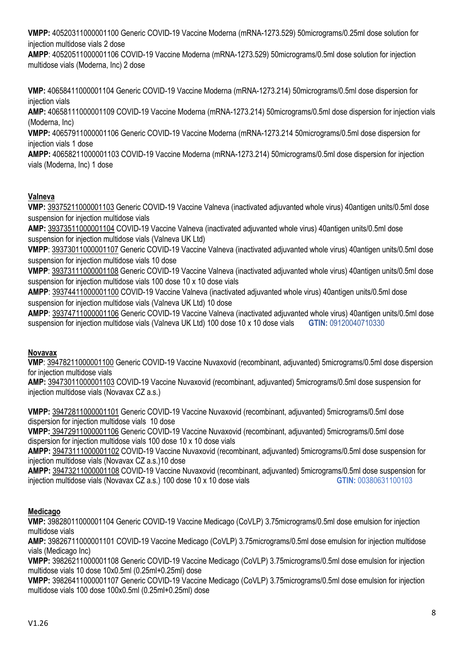**VMPP:** 40520311000001100 Generic COVID-19 Vaccine Moderna (mRNA-1273.529) 50micrograms/0.25ml dose solution for injection multidose vials 2 dose

**AMPP**: 40520511000001106 COVID-19 Vaccine Moderna (mRNA-1273.529) 50micrograms/0.5ml dose solution for injection multidose vials (Moderna, Inc) 2 dose

**VMP:** 40658411000001104 Generic COVID-19 Vaccine Moderna (mRNA-1273.214) 50micrograms/0.5ml dose dispersion for injection vials

**AMP:** 40658111000001109 COVID-19 Vaccine Moderna (mRNA-1273.214) 50micrograms/0.5ml dose dispersion for injection vials (Moderna, Inc)

**VMPP:** 40657911000001106 Generic COVID-19 Vaccine Moderna (mRNA-1273.214 50micrograms/0.5ml dose dispersion for injection vials 1 dose

**AMPP:** 40658211000001103 COVID-19 Vaccine Moderna (mRNA-1273.214) 50micrograms/0.5ml dose dispersion for injection vials (Moderna, Inc) 1 dose

## **Valneva**

**VMP:** [39375211000001103](https://termbrowser.nhs.uk/?perspective=full&edition=uk-edition&server=https://termbrowser.nhs.uk/sct-browser-api/snomed&langRefset=999001261000000100,999000691000001104&conceptId1=39375211000001103) Generic COVID-19 Vaccine Valneva (inactivated adjuvanted whole virus) 40antigen units/0.5ml dose suspension for injection multidose vials

**AMP:** [39373511000001104](https://termbrowser.nhs.uk/?perspective=full&edition=uk-edition&server=https://termbrowser.nhs.uk/sct-browser-api/snomed&langRefset=999001261000000100,999000691000001104&conceptId1=39373511000001104) COVID-19 Vaccine Valneva (inactivated adjuvanted whole virus) 40antigen units/0.5ml dose suspension for injection multidose vials (Valneva UK Ltd)

**VMPP**[: 39373011000001107](https://termbrowser.nhs.uk/?perspective=full&edition=uk-edition&server=https://termbrowser.nhs.uk/sct-browser-api/snomed&langRefset=999001261000000100,999000691000001104&conceptId1=39373011000001107) Generic COVID-19 Vaccine Valneva (inactivated adjuvanted whole virus) 40antigen units/0.5ml dose suspension for injection multidose vials 10 dose

**VMPP**[: 39373111000001108](https://termbrowser.nhs.uk/?perspective=full&edition=uk-edition&server=https://termbrowser.nhs.uk/sct-browser-api/snomed&langRefset=999001261000000100,999000691000001104&conceptId1=39373111000001108) Generic COVID-19 Vaccine Valneva (inactivated adjuvanted whole virus) 40antigen units/0.5ml dose suspension for injection multidose vials 100 dose 10 x 10 dose vials

**AMPP**: [39374411000001100](https://termbrowser.nhs.uk/?perspective=full&edition=uk-edition&server=https://termbrowser.nhs.uk/sct-browser-api/snomed&langRefset=999001261000000100,999000691000001104&conceptId1=39374411000001100) COVID-19 Vaccine Valneva (inactivated adjuvanted whole virus) 40antigen units/0.5ml dose suspension for injection multidose vials (Valneva UK Ltd) 10 dose

**AMPP**: [39374711000001106](https://termbrowser.nhs.uk/?perspective=full&edition=uk-edition&server=https://termbrowser.nhs.uk/sct-browser-api/snomed&langRefset=999001261000000100,999000691000001104&conceptId1=39374711000001106) Generic COVID-19 Vaccine Valneva (inactivated adjuvanted whole virus) 40antigen units/0.5ml dose suspension for injection multidose vials (Valneva UK Ltd) 100 dose 10 x 10 dose vials **GTIN:** 09120040710330

## **Novavax**

**VMP**: [39478211000001100](https://termbrowser.nhs.uk/?perspective=full&conceptId1=39478211000001100&edition=uk-edition&release=v20210707&server=https://termbrowser.nhs.uk/sct-browser-api/snomed&langRefset=999001261000000100,999000691000001104) Generic COVID-19 Vaccine Nuvaxovid (recombinant, adjuvanted) 5micrograms/0.5ml dose dispersion for injection multidose vials

**AMP:** [39473011000001103](https://termbrowser.nhs.uk/?perspective=full&edition=uk-edition&server=https://termbrowser.nhs.uk/sct-browser-api/snomed&langRefset=999001261000000100,999000691000001104&conceptId1=39473011000001103) COVID-19 Vaccine Nuvaxovid (recombinant, adjuvanted) 5micrograms/0.5ml dose suspension for injection multidose vials (Novavax CZ a.s.)

**VMPP:** [39472811000001101](https://termbrowser.nhs.uk/?perspective=full&edition=uk-edition&server=https://termbrowser.nhs.uk/sct-browser-api/snomed&langRefset=999001261000000100,999000691000001104&conceptId1=39472811000001101) Generic COVID-19 Vaccine Nuvaxovid (recombinant, adjuvanted) 5micrograms/0.5ml dose dispersion for injection multidose vials 10 dose

**VMPP:** [39472911000001106](https://termbrowser.nhs.uk/?perspective=full&edition=uk-edition&server=https://termbrowser.nhs.uk/sct-browser-api/snomed&langRefset=999001261000000100,999000691000001104&conceptId1=39472911000001106) Generic COVID-19 Vaccine Nuvaxovid (recombinant, adjuvanted) 5micrograms/0.5ml dose dispersion for injection multidose vials 100 dose 10 x 10 dose vials

**AMPP:** [39473111000001102](https://termbrowser.nhs.uk/?perspective=full&edition=uk-edition&server=https://termbrowser.nhs.uk/sct-browser-api/snomed&langRefset=999001261000000100,999000691000001104&conceptId1=39473111000001102) COVID-19 Vaccine Nuvaxovid (recombinant, adjuvanted) 5micrograms/0.5ml dose suspension for injection multidose vials (Novavax CZ a.s.)10 dose

**AMPP:** [39473211000001108](https://termbrowser.nhs.uk/?perspective=full&edition=uk-edition&server=https://termbrowser.nhs.uk/sct-browser-api/snomed&langRefset=999001261000000100,999000691000001104&conceptId1=39473211000001108) COVID-19 Vaccine Nuvaxovid (recombinant, adjuvanted) 5micrograms/0.5ml dose suspension for injection multidose vials (Novavax CZ a.s.) 100 dose 10 x 10 dose vials **GTIN: 00380631100103** 

## **Medicago**

**VMP:** 39828011000001104 Generic COVID-19 Vaccine Medicago (CoVLP) 3.75micrograms/0.5ml dose emulsion for injection multidose vials

**AMP:** 39826711000001101 COVID-19 Vaccine Medicago (CoVLP) 3.75micrograms/0.5ml dose emulsion for injection multidose vials (Medicago Inc)

**VMPP:** 39826211000001108 Generic COVID-19 Vaccine Medicago (CoVLP) 3.75micrograms/0.5ml dose emulsion for injection multidose vials 10 dose 10x0.5ml (0.25ml+0.25ml) dose

**VMPP:** 39826411000001107 Generic COVID-19 Vaccine Medicago (CoVLP) 3.75micrograms/0.5ml dose emulsion for injection multidose vials 100 dose 100x0.5ml (0.25ml+0.25ml) dose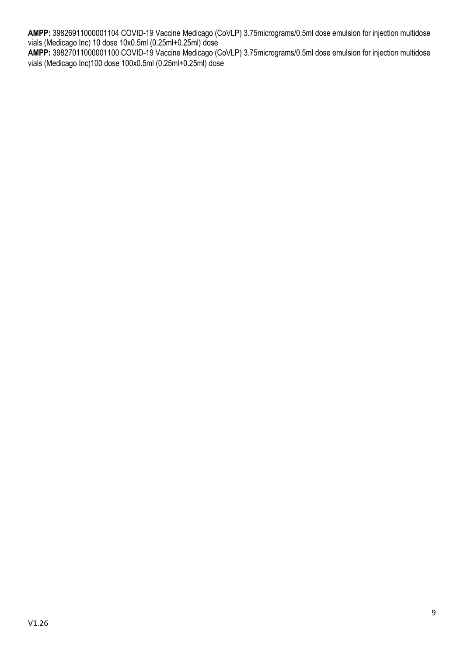**AMPP:** 39826911000001104 COVID-19 Vaccine Medicago (CoVLP) 3.75micrograms/0.5ml dose emulsion for injection multidose vials (Medicago Inc) 10 dose 10x0.5ml (0.25ml+0.25ml) dose **AMPP:** 39827011000001100 COVID-19 Vaccine Medicago (CoVLP) 3.75micrograms/0.5ml dose emulsion for injection multidose

vials (Medicago Inc)100 dose 100x0.5ml (0.25ml+0.25ml) dose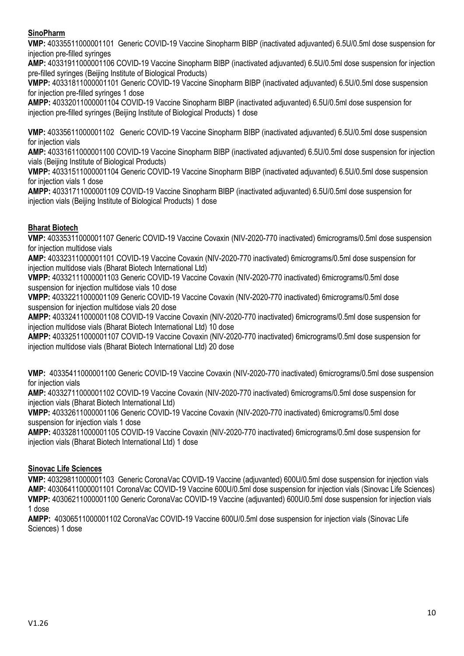### **SinoPharm**

**VMP:** 40335511000001101 Generic COVID-19 Vaccine Sinopharm BIBP (inactivated adjuvanted) 6.5U/0.5ml dose suspension for injection pre-filled syringes

**AMP:** 40331911000001106 COVID-19 Vaccine Sinopharm BIBP (inactivated adjuvanted) 6.5U/0.5ml dose suspension for injection pre-filled syringes (Beijing Institute of Biological Products)

**VMPP:** 40331811000001101 Generic COVID-19 Vaccine Sinopharm BIBP (inactivated adjuvanted) 6.5U/0.5ml dose suspension for injection pre-filled syringes 1 dose

**AMPP:** 40332011000001104 COVID-19 Vaccine Sinopharm BIBP (inactivated adjuvanted) 6.5U/0.5ml dose suspension for injection pre-filled syringes (Beijing Institute of Biological Products) 1 dose

**VMP:** 40335611000001102 Generic COVID-19 Vaccine Sinopharm BIBP (inactivated adjuvanted) 6.5U/0.5ml dose suspension for injection vials

**AMP:** 40331611000001100 COVID-19 Vaccine Sinopharm BIBP (inactivated adjuvanted) 6.5U/0.5ml dose suspension for injection vials (Beijing Institute of Biological Products)

**VMPP:** 40331511000001104 Generic COVID-19 Vaccine Sinopharm BIBP (inactivated adjuvanted) 6.5U/0.5ml dose suspension for injection vials 1 dose

**AMPP:** 40331711000001109 COVID-19 Vaccine Sinopharm BIBP (inactivated adjuvanted) 6.5U/0.5ml dose suspension for injection vials (Beijing Institute of Biological Products) 1 dose

## **Bharat Biotech**

**VMP:** 40335311000001107 Generic COVID-19 Vaccine Covaxin (NIV-2020-770 inactivated) 6micrograms/0.5ml dose suspension for injection multidose vials

**AMP:** 40332311000001101 COVID-19 Vaccine Covaxin (NIV-2020-770 inactivated) 6micrograms/0.5ml dose suspension for injection multidose vials (Bharat Biotech International Ltd)

**VMPP:** 40332111000001103 Generic COVID-19 Vaccine Covaxin (NIV-2020-770 inactivated) 6micrograms/0.5ml dose suspension for injection multidose vials 10 dose

**VMPP:** 40332211000001109 Generic COVID-19 Vaccine Covaxin (NIV-2020-770 inactivated) 6micrograms/0.5ml dose suspension for injection multidose vials 20 dose

**AMPP:** 40332411000001108 COVID-19 Vaccine Covaxin (NIV-2020-770 inactivated) 6micrograms/0.5ml dose suspension for injection multidose vials (Bharat Biotech International Ltd) 10 dose

**AMPP:** 40332511000001107 COVID-19 Vaccine Covaxin (NIV-2020-770 inactivated) 6micrograms/0.5ml dose suspension for injection multidose vials (Bharat Biotech International Ltd) 20 dose

**VMP:** 40335411000001100 Generic COVID-19 Vaccine Covaxin (NIV-2020-770 inactivated) 6micrograms/0.5ml dose suspension for injection vials

**AMP:** 40332711000001102 COVID-19 Vaccine Covaxin (NIV-2020-770 inactivated) 6micrograms/0.5ml dose suspension for injection vials (Bharat Biotech International Ltd)

**VMPP:** 40332611000001106 Generic COVID-19 Vaccine Covaxin (NIV-2020-770 inactivated) 6micrograms/0.5ml dose suspension for injection vials 1 dose

**AMPP:** 40332811000001105 COVID-19 Vaccine Covaxin (NIV-2020-770 inactivated) 6micrograms/0.5ml dose suspension for injection vials (Bharat Biotech International Ltd) 1 dose

## **Sinovac Life Sciences**

**VMP:** 40329811000001103 Generic CoronaVac COVID-19 Vaccine (adjuvanted) 600U/0.5ml dose suspension for injection vials **AMP:** 40306411000001101 CoronaVac COVID-19 Vaccine 600U/0.5ml dose suspension for injection vials (Sinovac Life Sciences) **VMPP:** 40306211000001100 Generic CoronaVac COVID-19 Vaccine (adjuvanted) 600U/0.5ml dose suspension for injection vials 1 dose

**AMPP:** 40306511000001102 CoronaVac COVID-19 Vaccine 600U/0.5ml dose suspension for injection vials (Sinovac Life Sciences) 1 dose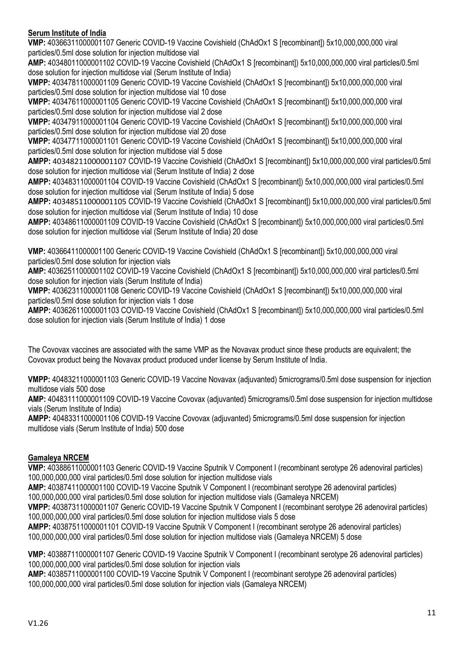### **Serum Institute of India**

**VMP:** 40366311000001107 Generic COVID-19 Vaccine Covishield (ChAdOx1 S [recombinant]) 5x10,000,000,000 viral particles/0.5ml dose solution for injection multidose vial

**AMP:** 40348011000001102 COVID-19 Vaccine Covishield (ChAdOx1 S [recombinant]) 5x10,000,000,000 viral particles/0.5ml dose solution for injection multidose vial (Serum Institute of India)

**VMPP:** 40347811000001109 Generic COVID-19 Vaccine Covishield (ChAdOx1 S [recombinant]) 5x10,000,000,000 viral particles/0.5ml dose solution for injection multidose vial 10 dose

**VMPP:** 40347611000001105 Generic COVID-19 Vaccine Covishield (ChAdOx1 S [recombinant]) 5x10,000,000,000 viral particles/0.5ml dose solution for injection multidose vial 2 dose

**VMPP:** 40347911000001104 Generic COVID-19 Vaccine Covishield (ChAdOx1 S [recombinant]) 5x10,000,000,000 viral particles/0.5ml dose solution for injection multidose vial 20 dose

**VMPP:** 40347711000001101 Generic COVID-19 Vaccine Covishield (ChAdOx1 S [recombinant]) 5x10,000,000,000 viral particles/0.5ml dose solution for injection multidose vial 5 dose

**AMPP:** 40348211000001107 COVID-19 Vaccine Covishield (ChAdOx1 S [recombinant]) 5x10,000,000,000 viral particles/0.5ml dose solution for injection multidose vial (Serum Institute of India) 2 dose

**AMPP:** 40348311000001104 COVID-19 Vaccine Covishield (ChAdOx1 S [recombinant]) 5x10,000,000,000 viral particles/0.5ml dose solution for injection multidose vial (Serum Institute of India) 5 dose

**AMPP:** 40348511000001105 COVID-19 Vaccine Covishield (ChAdOx1 S [recombinant]) 5x10,000,000,000 viral particles/0.5ml dose solution for injection multidose vial (Serum Institute of India) 10 dose

**AMPP:** 40348611000001109 COVID-19 Vaccine Covishield (ChAdOx1 S [recombinant]) 5x10,000,000,000 viral particles/0.5ml dose solution for injection multidose vial (Serum Institute of India) 20 dose

**VMP:** 40366411000001100 Generic COVID-19 Vaccine Covishield (ChAdOx1 S [recombinant]) 5x10,000,000,000 viral particles/0.5ml dose solution for injection vials

**AMP:** 40362511000001102 COVID-19 Vaccine Covishield (ChAdOx1 S [recombinant]) 5x10,000,000,000 viral particles/0.5ml dose solution for injection vials (Serum Institute of India)

**VMPP:** 40362311000001108 Generic COVID-19 Vaccine Covishield (ChAdOx1 S [recombinant]) 5x10,000,000,000 viral particles/0.5ml dose solution for injection vials 1 dose

**AMPP:** 40362611000001103 COVID-19 Vaccine Covishield (ChAdOx1 S [recombinant]) 5x10,000,000,000 viral particles/0.5ml dose solution for injection vials (Serum Institute of India) 1 dose

The Covovax vaccines are associated with the same VMP as the Novavax product since these products are equivalent; the Covovax product being the Novavax product produced under license by Serum Institute of India.

**VMPP:** 40483211000001103 Generic COVID-19 Vaccine Novavax (adjuvanted) 5micrograms/0.5ml dose suspension for injection multidose vials 500 dose

**AMP:** 40483111000001109 COVID-19 Vaccine Covovax (adjuvanted) 5micrograms/0.5ml dose suspension for injection multidose vials (Serum Institute of India)

**AMPP:** 40483311000001106 COVID-19 Vaccine Covovax (adjuvanted) 5micrograms/0.5ml dose suspension for injection multidose vials (Serum Institute of India) 500 dose

## **Gamaleya NRCEM**

**VMP:** 40388611000001103 Generic COVID-19 Vaccine Sputnik V Component I (recombinant serotype 26 adenoviral particles) 100,000,000,000 viral particles/0.5ml dose solution for injection multidose vials

**AMP:** 40387411000001100 COVID-19 Vaccine Sputnik V Component I (recombinant serotype 26 adenoviral particles)

100,000,000,000 viral particles/0.5ml dose solution for injection multidose vials (Gamaleya NRCEM)

**VMPP:** 40387311000001107 Generic COVID-19 Vaccine Sputnik V Component I (recombinant serotype 26 adenoviral particles) 100,000,000,000 viral particles/0.5ml dose solution for injection multidose vials 5 dose

**AMPP:** 40387511000001101 COVID-19 Vaccine Sputnik V Component I (recombinant serotype 26 adenoviral particles) 100,000,000,000 viral particles/0.5ml dose solution for injection multidose vials (Gamaleya NRCEM) 5 dose

**VMP:** 40388711000001107 Generic COVID-19 Vaccine Sputnik V Component I (recombinant serotype 26 adenoviral particles) 100,000,000,000 viral particles/0.5ml dose solution for injection vials

**AMP:** 40385711000001100 COVID-19 Vaccine Sputnik V Component I (recombinant serotype 26 adenoviral particles) 100,000,000,000 viral particles/0.5ml dose solution for injection vials (Gamaleya NRCEM)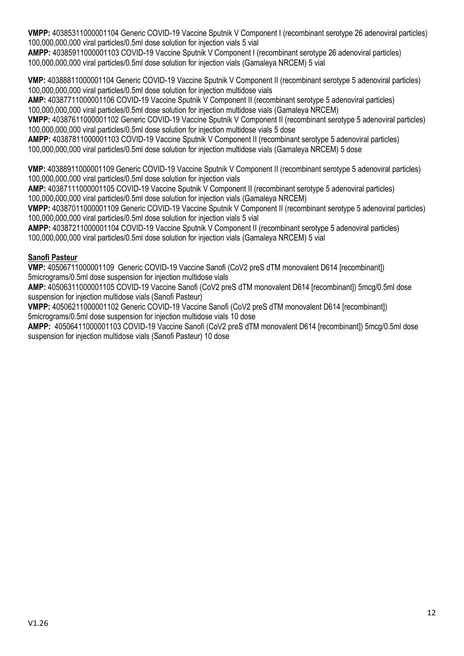**VMPP:** 40385311000001104 Generic COVID-19 Vaccine Sputnik V Component I (recombinant serotype 26 adenoviral particles) 100,000,000,000 viral particles/0.5ml dose solution for injection vials 5 vial

**AMPP:** 40385911000001103 COVID-19 Vaccine Sputnik V Component I (recombinant serotype 26 adenoviral particles) 100,000,000,000 viral particles/0.5ml dose solution for injection vials (Gamaleya NRCEM) 5 vial

**VMP:** 40388811000001104 Generic COVID-19 Vaccine Sputnik V Component II (recombinant serotype 5 adenoviral particles) 100,000,000,000 viral particles/0.5ml dose solution for injection multidose vials

**AMP:** 40387711000001106 COVID-19 Vaccine Sputnik V Component II (recombinant serotype 5 adenoviral particles) 100,000,000,000 viral particles/0.5ml dose solution for injection multidose vials (Gamaleya NRCEM)

**VMPP:** 40387611000001102 Generic COVID-19 Vaccine Sputnik V Component II (recombinant serotype 5 adenoviral particles) 100,000,000,000 viral particles/0.5ml dose solution for injection multidose vials 5 dose

**AMPP:** 40387811000001103 COVID-19 Vaccine Sputnik V Component II (recombinant serotype 5 adenoviral particles) 100,000,000,000 viral particles/0.5ml dose solution for injection multidose vials (Gamaleya NRCEM) 5 dose

**VMP:** 40388911000001109 Generic COVID-19 Vaccine Sputnik V Component II (recombinant serotype 5 adenoviral particles) 100,000,000,000 viral particles/0.5ml dose solution for injection vials

**AMP:** 40387111000001105 COVID-19 Vaccine Sputnik V Component II (recombinant serotype 5 adenoviral particles) 100,000,000,000 viral particles/0.5ml dose solution for injection vials (Gamaleya NRCEM)

**VMPP:** 40387011000001109 Generic COVID-19 Vaccine Sputnik V Component II (recombinant serotype 5 adenoviral particles) 100,000,000,000 viral particles/0.5ml dose solution for injection vials 5 vial

**AMPP:** 40387211000001104 COVID-19 Vaccine Sputnik V Component II (recombinant serotype 5 adenoviral particles) 100,000,000,000 viral particles/0.5ml dose solution for injection vials (Gamaleya NRCEM) 5 vial

## **Sanofi Pasteur**

**VMP:** 40506711000001109 Generic COVID-19 Vaccine Sanofi (CoV2 preS dTM monovalent D614 [recombinant]) 5micrograms/0.5ml dose suspension for injection multidose vials

**AMP:** 40506311000001105 COVID-19 Vaccine Sanofi (CoV2 preS dTM monovalent D614 [recombinant]) 5mcg/0.5ml dose suspension for injection multidose vials (Sanofi Pasteur)

**VMPP:** 40506211000001102 Generic COVID-19 Vaccine Sanofi (CoV2 preS dTM monovalent D614 [recombinant]) 5micrograms/0.5ml dose suspension for injection multidose vials 10 dose

**AMPP:** 40506411000001103 COVID-19 Vaccine Sanofi (CoV2 preS dTM monovalent D614 [recombinant]) 5mcg/0.5ml dose suspension for injection multidose vials (Sanofi Pasteur) 10 dose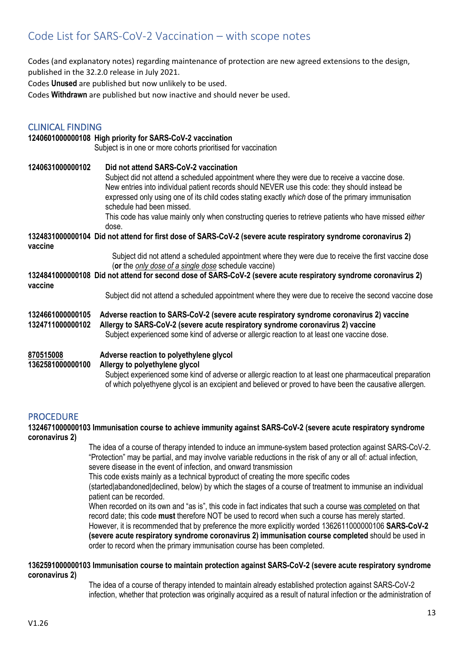# <span id="page-12-0"></span>Code List for SARS-CoV-2 Vaccination – with scope notes

Codes (and explanatory notes) regarding maintenance of protection are new agreed extensions to the design, published in the 32.2.0 release in July 2021.

Codes **Unused** are published but now unlikely to be used.

Codes **Withdrawn** are published but now inactive and should never be used.

#### CLINICAL FINDING

## **1240601000000108 High priority for SARS-CoV-2 vaccination** Subject is in one or more cohorts prioritised for vaccination **1240631000000102 Did not attend SARS-CoV-2 vaccination** Subject did not attend a scheduled appointment where they were due to receive a vaccine dose. New entries into individual patient records should NEVER use this code: they should instead be expressed only using one of its child codes stating exactly *which* dose of the primary immunisation schedule had been missed. This code has value mainly only when constructing queries to retrieve patients who have missed *either* dose. **1324831000000104 Did not attend for first dose of SARS-CoV-2 (severe acute respiratory syndrome coronavirus 2) vaccine** Subject did not attend a scheduled appointment where they were due to receive the first vaccine dose (**or** the *only dose of a single dose* schedule vaccine) **1324841000000108 Did not attend for second dose of SARS-CoV-2 (severe acute respiratory syndrome coronavirus 2) vaccine** Subject did not attend a scheduled appointment where they were due to receive the second vaccine dose **1324661000000105 Adverse reaction to SARS-CoV-2 (severe acute respiratory syndrome coronavirus 2) vaccine 1324711000000102 Allergy to SARS-CoV-2 (severe acute respiratory syndrome coronavirus 2) vaccine** Subject experienced some kind of adverse or allergic reaction to at least one vaccine dose. **[870515008](https://termbrowser.nhs.uk/?perspective=full&edition=uk-edition&server=https://termbrowser.nhs.uk/sct-browser-api/snomed&langRefset=999001261000000100,999000691000001104&conceptId1=870515008) Adverse reaction to polyethylene glycol 1362581000000100 Allergy to polyethylene glycol** Subject experienced some kind of adverse or allergic reaction to at least one pharmaceutical preparation of which polyethyene glycol is an excipient and believed or proved to have been the causative allergen.

#### PROCEDURE

#### **1324671000000103 Immunisation course to achieve immunity against SARS-CoV-2 (severe acute respiratory syndrome coronavirus 2)**

The idea of a course of therapy intended to induce an immune-system based protection against SARS-CoV-2. "Protection" may be partial, and may involve variable reductions in the risk of any or all of: actual infection, severe disease in the event of infection, and onward transmission

This code exists mainly as a technical byproduct of creating the more specific codes

(started|abandoned|declined, below) by which the stages of a course of treatment to immunise an individual patient can be recorded.

When recorded on its own and "as is", this code in fact indicates that such a course was completed on that record date; this code **must** therefore NOT be used to record when such a course has merely started. However, it is recommended that by preference the more explicitly worded 1362611000000106 **SARS-CoV-2 (severe acute respiratory syndrome coronavirus 2) immunisation course completed** should be used in order to record when the primary immunisation course has been completed.

#### **1362591000000103 Immunisation course to maintain protection against SARS-CoV-2 (severe acute respiratory syndrome coronavirus 2)**

The idea of a course of therapy intended to maintain already established protection against SARS-CoV-2 infection, whether that protection was originally acquired as a result of natural infection or the administration of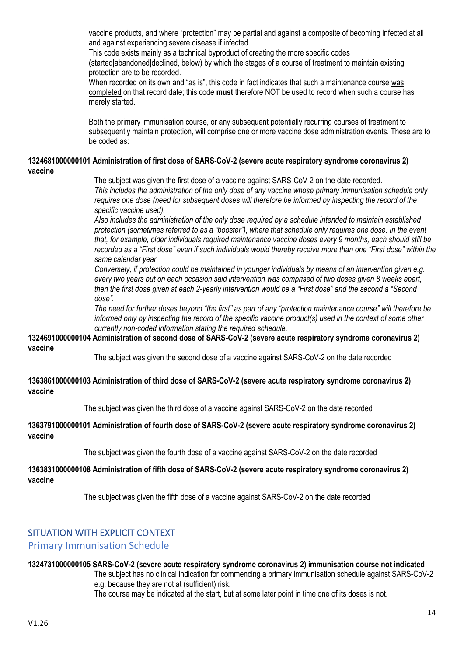vaccine products, and where "protection" may be partial and against a composite of becoming infected at all and against experiencing severe disease if infected.

This code exists mainly as a technical byproduct of creating the more specific codes

(started|abandoned|declined, below) by which the stages of a course of treatment to maintain existing protection are to be recorded.

When recorded on its own and "as is", this code in fact indicates that such a maintenance course was completed on that record date; this code **must** therefore NOT be used to record when such a course has merely started.

Both the primary immunisation course, or any subsequent potentially recurring courses of treatment to subsequently maintain protection, will comprise one or more vaccine dose administration events. These are to be coded as:

#### **1324681000000101 Administration of first dose of SARS-CoV-2 (severe acute respiratory syndrome coronavirus 2) vaccine**

The subject was given the first dose of a vaccine against SARS-CoV-2 on the date recorded.

*This includes the administration of the only dose of any vaccine whose primary immunisation schedule only requires one dose (need for subsequent doses will therefore be informed by inspecting the record of the specific vaccine used).*

*Also includes the administration of the only dose required by a schedule intended to maintain established protection (sometimes referred to as a "booster"), where that schedule only requires one dose. In the event that, for example, older individuals required maintenance vaccine doses every 9 months, each should still be recorded as a "First dose" even if such individuals would thereby receive more than one "First dose" within the same calendar year.* 

*Conversely, if protection could be maintained in younger individuals by means of an intervention given e.g. every two years but on each occasion said intervention was comprised of two doses given 8 weeks apart, then the first dose given at each 2-yearly intervention would be a "First dose" and the second a "Second dose".*

*The need for further doses beyond "the first" as part of any "protection maintenance course" will therefore be informed only by inspecting the record of the specific vaccine product(s) used in the context of some other currently non-coded information stating the required schedule.*

#### **1324691000000104 Administration of second dose of SARS-CoV-2 (severe acute respiratory syndrome coronavirus 2) vaccine**

The subject was given the second dose of a vaccine against SARS-CoV-2 on the date recorded

#### **1363861000000103 Administration of third dose of SARS-CoV-2 (severe acute respiratory syndrome coronavirus 2) vaccine**

The subject was given the third dose of a vaccine against SARS-CoV-2 on the date recorded

#### **1363791000000101 Administration of fourth dose of SARS-CoV-2 (severe acute respiratory syndrome coronavirus 2) vaccine**

The subject was given the fourth dose of a vaccine against SARS-CoV-2 on the date recorded

**1363831000000108 Administration of fifth dose of SARS-CoV-2 (severe acute respiratory syndrome coronavirus 2) vaccine**

The subject was given the fifth dose of a vaccine against SARS-CoV-2 on the date recorded

## SITUATION WITH EXPLICIT CONTEXT

## Primary Immunisation Schedule

#### **1324731000000105 SARS-CoV-2 (severe acute respiratory syndrome coronavirus 2) immunisation course not indicated**

The subject has no clinical indication for commencing a primary immunisation schedule against SARS-CoV-2 e.g. because they are not at (sufficient) risk.

The course may be indicated at the start, but at some later point in time one of its doses is not.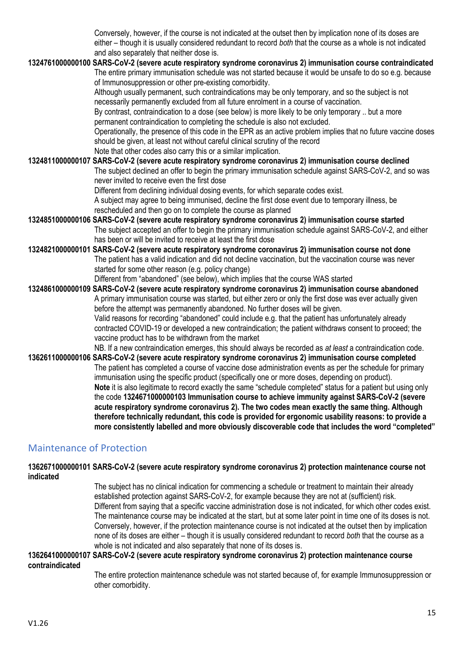Conversely, however, if the course is not indicated at the outset then by implication none of its doses are either – though it is usually considered redundant to record *both* that the course as a whole is not indicated and also separately that neither dose is.

## **1324761000000100 SARS-CoV-2 (severe acute respiratory syndrome coronavirus 2) immunisation course contraindicated**

The entire primary immunisation schedule was not started because it would be unsafe to do so e.g. because of Immunosuppression or other pre-existing comorbidity.

Although usually permanent, such contraindications may be only temporary, and so the subject is not necessarily permanently excluded from all future enrolment in a course of vaccination.

By contrast, contraindication to a dose (see below) is more likely to be only temporary .. but a more permanent contraindication to completing the schedule is also not excluded.

Operationally, the presence of this code in the EPR as an active problem implies that no future vaccine doses should be given, at least not without careful clinical scrutiny of the record

Note that other codes also carry this or a similar implication.

#### **1324811000000107 SARS-CoV-2 (severe acute respiratory syndrome coronavirus 2) immunisation course declined**

The subject declined an offer to begin the primary immunisation schedule against SARS-CoV-2, and so was never invited to receive even the first dose

Different from declining individual dosing events, for which separate codes exist.

A subject may agree to being immunised, decline the first dose event due to temporary illness, be rescheduled and then go on to complete the course as planned

- **1324851000000106 SARS-CoV-2 (severe acute respiratory syndrome coronavirus 2) immunisation course started** The subject accepted an offer to begin the primary immunisation schedule against SARS-CoV-2, and either has been or will be invited to receive at least the first dose
- **1324821000000101 SARS-CoV-2 (severe acute respiratory syndrome coronavirus 2) immunisation course not done** The patient has a valid indication and did not decline vaccination, but the vaccination course was never started for some other reason (e.g. policy change)

Different from "abandoned" (see below), which implies that the course WAS started

**1324861000000109 SARS-CoV-2 (severe acute respiratory syndrome coronavirus 2) immunisation course abandoned** A primary immunisation course was started, but either zero or only the first dose was ever actually given before the attempt was permanently abandoned. No further doses will be given. Valid reasons for recording "abandoned" could include e.g. that the patient has unfortunately already contracted COVID-19 or developed a new contraindication; the patient withdraws consent to proceed; the vaccine product has to be withdrawn from the market

NB. If a new contraindication emerges, this should always be recorded as *at least* a contraindication code.

**1362611000000106 SARS-CoV-2 (severe acute respiratory syndrome coronavirus 2) immunisation course completed** The patient has completed a course of vaccine dose administration events as per the schedule for primary immunisation using the specific product (specifically one or more doses, depending on product). **Note** it is also legitimate to record exactly the same "schedule completed" status for a patient but using only the code **1324671000000103 Immunisation course to achieve immunity against SARS-CoV-2 (severe acute respiratory syndrome coronavirus 2). The two codes mean exactly the same thing. Although therefore technically redundant, this code is provided for ergonomic usability reasons: to provide a more consistently labelled and more obviously discoverable code that includes the word "completed"** 

## Maintenance of Protection

**1362671000000101 SARS-CoV-2 (severe acute respiratory syndrome coronavirus 2) protection maintenance course not indicated**

> The subject has no clinical indication for commencing a schedule or treatment to maintain their already established protection against SARS-CoV-2, for example because they are not at (sufficient) risk. Different from saying that a specific vaccine administration dose is not indicated, for which other codes exist. The maintenance course may be indicated at the start, but at some later point in time one of its doses is not. Conversely, however, if the protection maintenance course is not indicated at the outset then by implication none of its doses are either – though it is usually considered redundant to record *both* that the course as a whole is not indicated and also separately that none of its doses is.

#### **1362641000000107 SARS-CoV-2 (severe acute respiratory syndrome coronavirus 2) protection maintenance course contraindicated**

The entire protection maintenance schedule was not started because of, for example Immunosuppression or other comorbidity.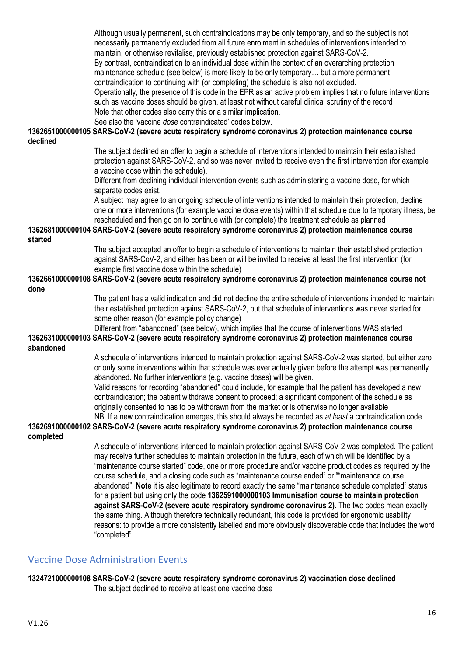Although usually permanent, such contraindications may be only temporary, and so the subject is not necessarily permanently excluded from all future enrolment in schedules of interventions intended to maintain, or otherwise revitalise, previously established protection against SARS-CoV-2. By contrast, contraindication to an individual dose within the context of an overarching protection maintenance schedule (see below) is more likely to be only temporary… but a more permanent contraindication to continuing with (or completing) the schedule is also not excluded. Operationally, the presence of this code in the EPR as an active problem implies that no future interventions such as vaccine doses should be given, at least not without careful clinical scrutiny of the record Note that other codes also carry this or a similar implication.

See also the 'vaccine *dose* contraindicated' codes below.

**1362651000000105 SARS-CoV-2 (severe acute respiratory syndrome coronavirus 2) protection maintenance course declined**

> The subject declined an offer to begin a schedule of interventions intended to maintain their established protection against SARS-CoV-2, and so was never invited to receive even the first intervention (for example a vaccine dose within the schedule).

Different from declining individual intervention events such as administering a vaccine dose, for which separate codes exist.

A subject may agree to an ongoing schedule of interventions intended to maintain their protection, decline one or more interventions (for example vaccine dose events) within that schedule due to temporary illness, be rescheduled and then go on to continue with (or complete) the treatment schedule as planned

#### **1362681000000104 SARS-CoV-2 (severe acute respiratory syndrome coronavirus 2) protection maintenance course started**

The subject accepted an offer to begin a schedule of interventions to maintain their established protection against SARS-CoV-2, and either has been or will be invited to receive at least the first intervention (for example first vaccine dose within the schedule)

#### **1362661000000108 SARS-CoV-2 (severe acute respiratory syndrome coronavirus 2) protection maintenance course not done**

The patient has a valid indication and did not decline the entire schedule of interventions intended to maintain their established protection against SARS-CoV-2, but that schedule of interventions was never started for some other reason (for example policy change)

Different from "abandoned" (see below), which implies that the course of interventions WAS started **1362631000000103 SARS-CoV-2 (severe acute respiratory syndrome coronavirus 2) protection maintenance course abandoned**

> A schedule of interventions intended to maintain protection against SARS-CoV-2 was started, but either zero or only some interventions within that schedule was ever actually given before the attempt was permanently abandoned. No further interventions (e.g. vaccine doses) will be given.

Valid reasons for recording "abandoned" could include, for example that the patient has developed a new contraindication; the patient withdraws consent to proceed; a significant component of the schedule as originally consented to has to be withdrawn from the market or is otherwise no longer available NB. If a new contraindication emerges, this should always be recorded as *at least* a contraindication code.

#### **1362691000000102 SARS-CoV-2 (severe acute respiratory syndrome coronavirus 2) protection maintenance course completed**

A schedule of interventions intended to maintain protection against SARS-CoV-2 was completed. The patient may receive further schedules to maintain protection in the future, each of which will be identified by a "maintenance course started" code, one or more procedure and/or vaccine product codes as required by the course schedule, and a closing code such as "maintenance course ended" or ""maintenance course abandoned". **Note** it is also legitimate to record exactly the same "maintenance schedule completed" status for a patient but using only the code **1362591000000103 Immunisation course to maintain protection against SARS-CoV-2 (severe acute respiratory syndrome coronavirus 2).** The two codes mean exactly the same thing. Although therefore technically redundant, this code is provided for ergonomic usability reasons: to provide a more consistently labelled and more obviously discoverable code that includes the word "completed"

## Vaccine Dose Administration Events

#### **1324721000000108 SARS-CoV-2 (severe acute respiratory syndrome coronavirus 2) vaccination dose declined** The subject declined to receive at least one vaccine dose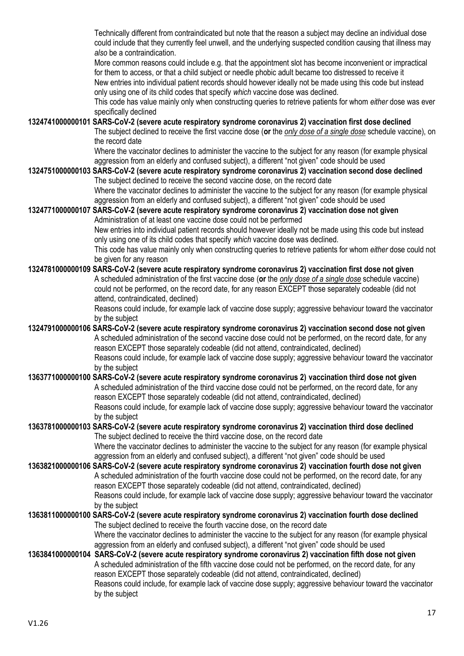Technically different from contraindicated but note that the reason a subject may decline an individual dose could include that they currently feel unwell, and the underlying suspected condition causing that illness may *also* be a contraindication.

More common reasons could include e.g. that the appointment slot has become inconvenient or impractical for them to access, or that a child subject or needle phobic adult became too distressed to receive it New entries into individual patient records should however ideally not be made using this code but instead only using one of its child codes that specify *which* vaccine dose was declined.

This code has value mainly only when constructing queries to retrieve patients for whom *either* dose was ever specifically declined

#### **1324741000000101 SARS-CoV-2 (severe acute respiratory syndrome coronavirus 2) vaccination first dose declined**

The subject declined to receive the first vaccine dose (**or** the *only dose of a single dose* schedule vaccine), on the record date

Where the vaccinator declines to administer the vaccine to the subject for any reason (for example physical aggression from an elderly and confused subject), a different "not given" code should be used

#### **1324751000000103 SARS-CoV-2 (severe acute respiratory syndrome coronavirus 2) vaccination second dose declined** The subject declined to receive the second vaccine dose, on the record date

Where the vaccinator declines to administer the vaccine to the subject for any reason (for example physical aggression from an elderly and confused subject), a different "not given" code should be used

#### **1324771000000107 SARS-CoV-2 (severe acute respiratory syndrome coronavirus 2) vaccination dose not given** Administration of at least one vaccine dose could not be performed

New entries into individual patient records should however ideally not be made using this code but instead only using one of its child codes that specify *which* vaccine dose was declined.

This code has value mainly only when constructing queries to retrieve patients for whom *either* dose could not be given for any reason

## **1324781000000109 SARS-CoV-2 (severe acute respiratory syndrome coronavirus 2) vaccination first dose not given**

A scheduled administration of the first vaccine dose (**or** the *only dose of a single dose* schedule vaccine) could not be performed, on the record date, for any reason EXCEPT those separately codeable (did not attend, contraindicated, declined)

Reasons could include, for example lack of vaccine dose supply; aggressive behaviour toward the vaccinator by the subject

#### **1324791000000106 SARS-CoV-2 (severe acute respiratory syndrome coronavirus 2) vaccination second dose not given** A scheduled administration of the second vaccine dose could not be performed, on the record date, for any reason EXCEPT those separately codeable (did not attend, contraindicated, declined) Reasons could include, for example lack of vaccine dose supply; aggressive behaviour toward the vaccinator by the subject

#### **1363771000000100 SARS-CoV-2 (severe acute respiratory syndrome coronavirus 2) vaccination third dose not given** A scheduled administration of the third vaccine dose could not be performed, on the record date, for any reason EXCEPT those separately codeable (did not attend, contraindicated, declined) Reasons could include, for example lack of vaccine dose supply; aggressive behaviour toward the vaccinator by the subject

## **1363781000000103 SARS-CoV-2 (severe acute respiratory syndrome coronavirus 2) vaccination third dose declined**  The subject declined to receive the third vaccine dose, on the record date

Where the vaccinator declines to administer the vaccine to the subject for any reason (for example physical aggression from an elderly and confused subject), a different "not given" code should be used

#### **1363821000000106 SARS-CoV-2 (severe acute respiratory syndrome coronavirus 2) vaccination fourth dose not given** A scheduled administration of the fourth vaccine dose could not be performed, on the record date, for any reason EXCEPT those separately codeable (did not attend, contraindicated, declined) Reasons could include, for example lack of vaccine dose supply; aggressive behaviour toward the vaccinator by the subject

#### **1363811000000100 SARS-CoV-2 (severe acute respiratory syndrome coronavirus 2) vaccination fourth dose declined**  The subject declined to receive the fourth vaccine dose, on the record date Where the vaccinator declines to administer the vaccine to the subject for any reason (for example physical

aggression from an elderly and confused subject), a different "not given" code should be used

#### **1363841000000104 SARS-CoV-2 (severe acute respiratory syndrome coronavirus 2) vaccination fifth dose not given** A scheduled administration of the fifth vaccine dose could not be performed, on the record date, for any reason EXCEPT those separately codeable (did not attend, contraindicated, declined) Reasons could include, for example lack of vaccine dose supply; aggressive behaviour toward the vaccinator by the subject